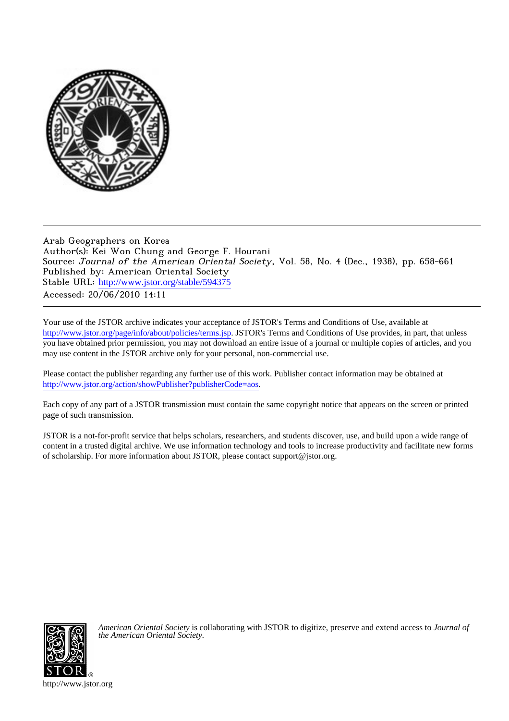

## Arab Geographers on Korea Author(s): Kei Won Chung and George F. Hourani Source: Journal of the American Oriental Society, Vol. 58, No. 4 (Dec., 1938), pp. 658-661 Published by: American Oriental Society Stable URL: [http://www.jstor.org/stable/594375](http://www.jstor.org/stable/594375?origin=JSTOR-pdf) Accessed: 20/06/2010 14:11

Your use of the JSTOR archive indicates your acceptance of JSTOR's Terms and Conditions of Use, available at <http://www.jstor.org/page/info/about/policies/terms.jsp>. JSTOR's Terms and Conditions of Use provides, in part, that unless you have obtained prior permission, you may not download an entire issue of a journal or multiple copies of articles, and you may use content in the JSTOR archive only for your personal, non-commercial use.

Please contact the publisher regarding any further use of this work. Publisher contact information may be obtained at <http://www.jstor.org/action/showPublisher?publisherCode=aos>.

Each copy of any part of a JSTOR transmission must contain the same copyright notice that appears on the screen or printed page of such transmission.

JSTOR is a not-for-profit service that helps scholars, researchers, and students discover, use, and build upon a wide range of content in a trusted digital archive. We use information technology and tools to increase productivity and facilitate new forms of scholarship. For more information about JSTOR, please contact support@jstor.org.



*American Oriental Society* is collaborating with JSTOR to digitize, preserve and extend access to *Journal of the American Oriental Society.*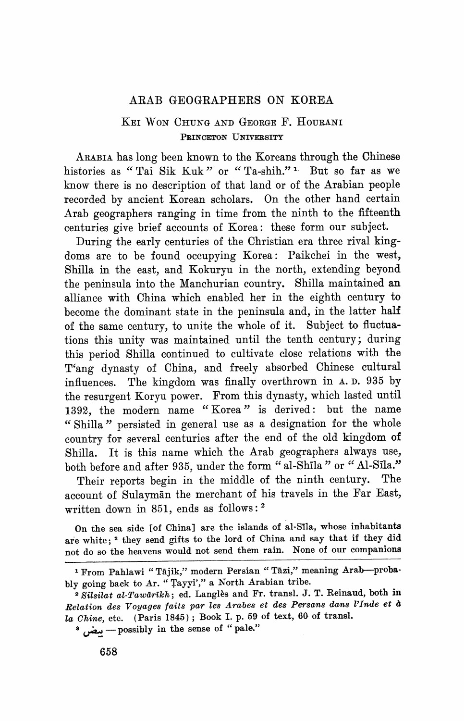## **ARAB GEOGRAPHERS ON KOREA**

## **KEI WON CHUNG AND GEORGE F. HOUTRNI PRIrNCETON UNIVERSITY**

**ARABIA has long been known to the Koreans through the Chinese histories as "Tai Sik Kuk" or " Ta-shih." 1 But so far as we know there is no description of that land or of the Arabian people recorded by ancient Korean scholars. On the other hand certain Arab geographers ranging in time from the ninth to the fifteenth centuries give brief accounts of Korea: these form our subject.** 

**During the early centuries of the Christian era three rival kingdoms are to be found occupying Korea: Paikchei in the west, Shilla in the east, and Kokuryu in the north, extending beyond the peninsula into the Manchurian country. Shilla maintained an alliance with China which enabled her in the eighth century to become the dominant state in the peninsula and, in the latter half of the same century, to unite the whole of it. Subject to fluctuations this unity was maintained until the tenth century; during this period Shilla continued to cultivate close relations with the T'ang dynasty of China, and freely absorbed Chinese cultural influences. The kingdom was finally overthrown in A. D. 935 by the resurgent Koryu power. From this dynasty, which lasted until 1392, the modern name " Korea " is derived: but the name " Shilla " persisted in general use as a designation for the whole country for several centuries after the end of the old kingdom of Shilla. It is this name which the Arab geographers always use,**  both before and after 935, under the form "al-Shila " or "Al-Sila."

**Their reports begin in the middle of the ninth century. The account of Sulaymdn the merchant of his travels in the Far East, written down in 851, ends as follows: 2** 

**On the sea side [of China] are the islands of al-Sila, whose inhabitants are white; 3 they send gifts to the lord of China and say that if they did not do so the heavens would not send them rain. None of our companions** 

**a A -possibly in the sense of " pale."** 

**<sup>1</sup> From Pahlawi " Tajik," modern Persian " Tazi," meaning Arab-probably going back to Ar. " Tayyi'," a North Arabian tribe.** 

**<sup>2</sup> Silsilat al-Tawarikh; ed. Langles and Fr. transl. J. T. Reinaud, both in Relation des Voyages faits par les Arabes et des Persans dans IlInde et <sup>a</sup> la Chine, etc. (Paris 1845); Book I. p. 59 of text, 60 of transl.**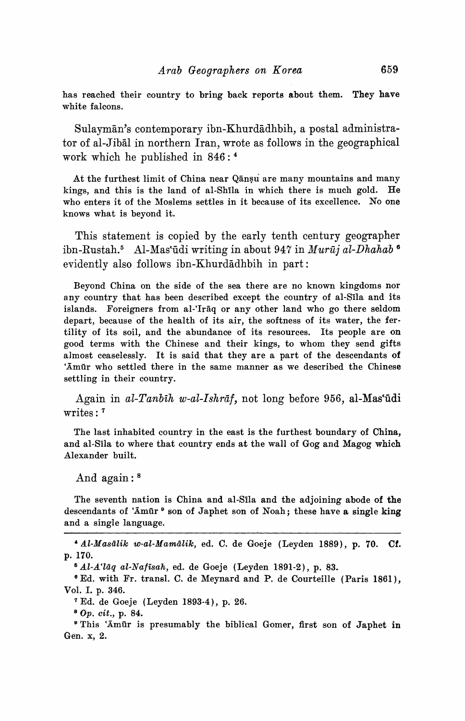**has reached their country to bring back reports about them. They have white falcons.** 

Sulaymān's contemporary ibn-Khurdādhbih, a postal administra**tor of al-Jibil in northern Iran, wrote as follows in the geographical work which he published in 846: <sup>4</sup>**

At the furthest limit of China near Qansu are many mountains and many **kings, and this is the land of al-Shila in which there is much gold. He who enters it of the Moslems settles in it because of its excellence. No one knows what is beyond it.** 

**This statement is copied by the early tenth century geographer**  ibn-Rustah.<sup>5</sup> Al-Mas'ūdi writing in about 947 in Murūj al-Dhahab<sup>6</sup> evidently also follows ibn-Khurdadhbih in part:

**Beyond China on the side of the sea there are no known kingdoms nor any country that has been described except the country of al-Sila and its**  islands. Foreigners from al-'Iraq or any other land who go there seldom **depart, because of the health of its air, the softness of its water, the fertility of its soil, and the abundance of its resources. Its people are on good terms with the Chinese and their kings, to whom they send gifts almost ceaselessly. It is said that they are a part of the descendants of 'Amftr who settled there in the same manner as we described the Chinese settling in their country.** 

**Again in al-Tanbih w-al-Ishrdf, not long before 956, al-Mastuidi writes: <sup>7</sup>**

**The last inhabited country in the east is the furthest boundary of China, and al-Sila to where that country ends at the wall of Gog and Magog which Alexander built.** 

**And again: <sup>8</sup>**

**The seventh nation is China and al-Sila and the adjoining abode of the descendants of 'Amfir 9 son of Japhet son of Noah; these have a single king and a single language.** 

**'Al-Masdlik w-al-Mamalik, ed. C. de Goeje (Leyden 1889), p. 70. Cf. p. 170.** 

**Al-A'Iaq al-Naftsah, ed. de Goeje (Leyden 1891-2), p. 83.** 

<sup>e</sup> Ed. with Fr. transl. C. de Meynard and P. de Courteille (Paris 1861), **Vol. I. p. 346.** 

**7Ed. de Goeje (Leyden 1893-4), p. 26.** 

**; Op. cit., p. 84.** 

**<sup>9</sup>This 'Amlir is presumably the biblical Gomer, first son of Japhet in Gen. x, 2.**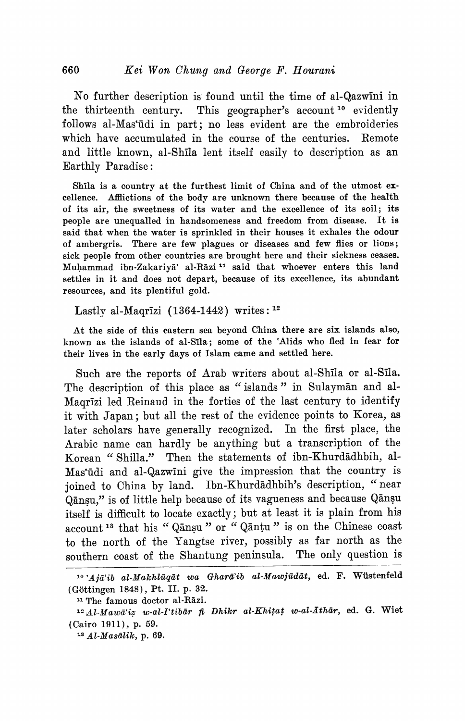No further description is found until the time of al-Qazwini in **the thirteenth century. This geographer's account 10 evidently**  follows al-Mas<sup>t</sup>udi in part; no less evident are the embroideries **which have accumulated in the course of the centuries. Remote and little known, al-ShIla lent itself easily to description as an Earthly Paradise:** 

Shila is a country at the furthest limit of China and of the utmost ex**cellence. Afflictions of the body are unknown there because of the health of its air, the sweetness of its water and the excellence of its soil; its people are unequalled in handsomeness and freedom from disease. It is said that when the water is sprinkled in their houses it exhales the odour of ambergris. There are few plagues or diseases and few flies or lions; sick people from other countries are brought here and their sickness ceases.**  Muhammad ibn-Zakariyā' al-Rāzi<sup>11</sup> said that whoever enters this land **settles in it and does not depart, because of its excellence, its abundant resources, and its plentiful gold.** 

**Lastly al-Maqrizi (1364-1442) writes: <sup>12</sup>**

**At the side of this eastern sea beyond China there are six islands also, known as the islands of al-Sila; some of the 'Alids who fled in fear for their lives in the early days of Islam came and settled here.** 

**Such are the reports of Arab writers about al-Shila or al-Sila.**  The description of this place as "islands" in Sulayman and al-**Maqrlzi led Reinaud in the forties of the last century to identify it with Japan; but all the rest of the evidence points to Korea, as later scholars have generally recognized. In the first place, the Arabic name can hardly be anything but a transcription of the Korean " Shilla." Then the statements of ibn-Khurdadhbih, al-**Mas'ūdi and al-Qazwīni give the impression that the country is ioined to China by land. Ibn-Khurdadhbih's description, "near Qānsu," is of little help because of its vagueness and because Qānsu **itself is difficult to locate exactly; but at least it is plain from his account 13 that his " Qansu " or " Qantu " is on the Chinese coast to the north of the Yangtse river, possibly as far north as the southern coast of the Shantung peninsula. The only question is** 

<sup>&</sup>lt;sup>10</sup> 'Ajā'ib al-Makhlūqāt wa Gharā'ib al-Mawjūdāt, ed. F. Wüstenfeld **(G-8ttingen 1848), Pt. II. p. 32.** 

<sup>&</sup>lt;sup>11</sup> The famous doctor al-Rāzi.

<sup>&</sup>lt;sup>12</sup> Al-Mawā'iz w-al-I'tibār *fi Dhikr al-Khitat w-al-Athār*, ed. G. Wiet **(Cairo 1911), p. 59.** 

**<sup>13</sup> Al-Masalik, p. 69.**